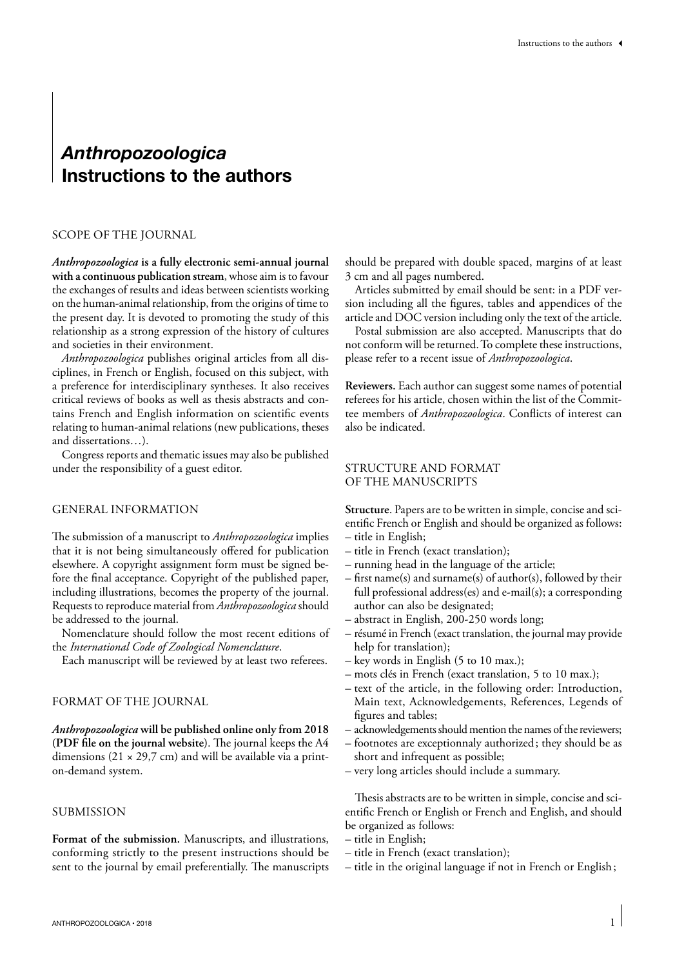# *Anthropozoologica*  **Instructions to the authors**

## Scope of the journal

*Anthropozoologica* **is a fully electronic semi-annual journal with a continuous publication stream**, whose aim is to favour the exchanges of results and ideas between scientists working on the human-animal relationship, from the origins of time to the present day. It is devoted to promoting the study of this relationship as a strong expression of the history of cultures and societies in their environment.

*Anthropozoologica* publishes original articles from all disciplines, in French or English, focused on this subject, with a preference for interdisciplinary syntheses. It also receives critical reviews of books as well as thesis abstracts and contains French and English information on scientific events relating to human-animal relations (new publications, theses and dissertations…).

Congress reports and thematic issues may also be published under the responsibility of a guest editor.

## General information

The submission of a manuscript to *Anthropozoologica* implies that it is not being simultaneously offered for publication elsewhere. A copyright assignment form must be signed before the final acceptance. Copyright of the published paper, including illustrations, becomes the property of the journal. Requests to reproduce material from *Anthropozoologica* should be addressed to the journal.

Nomenclature should follow the most recent editions of the *International Code of Zoological Nomenclature*.

Each manuscript will be reviewed by at least two referees.

#### format of the journal

*Anthropozoologica* **will be published online only from 2018 (PDF file on the journal website)**. The journal keeps the A4 dimensions  $(21 \times 29.7 \text{ cm})$  and will be available via a printon-demand system.

## **SUBMISSION**

**Format of the submission.** Manuscripts, and illustrations, conforming strictly to the present instructions should be sent to the journal by email preferentially. The manuscripts

should be prepared with double spaced, margins of at least 3 cm and all pages numbered.

Articles submitted by email should be sent: in a PDF version including all the figures, tables and appendices of the article and DOC version including only the text of the article.

Postal submission are also accepted. Manuscripts that do not conform will be returned. To complete these instructions, please refer to a recent issue of *Anthropozoologica*.

**Reviewers.** Each author can suggest some names of potential referees for his article, chosen within the list of the Committee members of *Anthropozoologica*. Conflicts of interest can also be indicated.

### Structure and format of the Manuscripts

**Structure**. Papers are to be written in simple, concise and scientific French or English and should be organized as follows: – title in English;

- title in French (exact translation);
- running head in the language of the article;
- first name(s) and surname(s) of author(s), followed by their full professional address(es) and e-mail(s); a corresponding author can also be designated;
- abstract in English, 200-250 words long;
- résumé in French (exact translation, the journal may provide help for translation);
- key words in English (5 to 10 max.);
- mots clés in French (exact translation, 5 to 10 max.);
- text of the article, in the following order: Introduction, Main text, Acknowledgements, References, Legends of figures and tables;
- acknowledgements should mention the names of the reviewers;
- footnotes are exceptionnaly authorized; they should be as short and infrequent as possible;
- very long articles should include a summary.

Thesis abstracts are to be written in simple, concise and scientific French or English or French and English, and should be organized as follows:

- title in English;
- title in French (exact translation);
- title in the original language if not in French or English;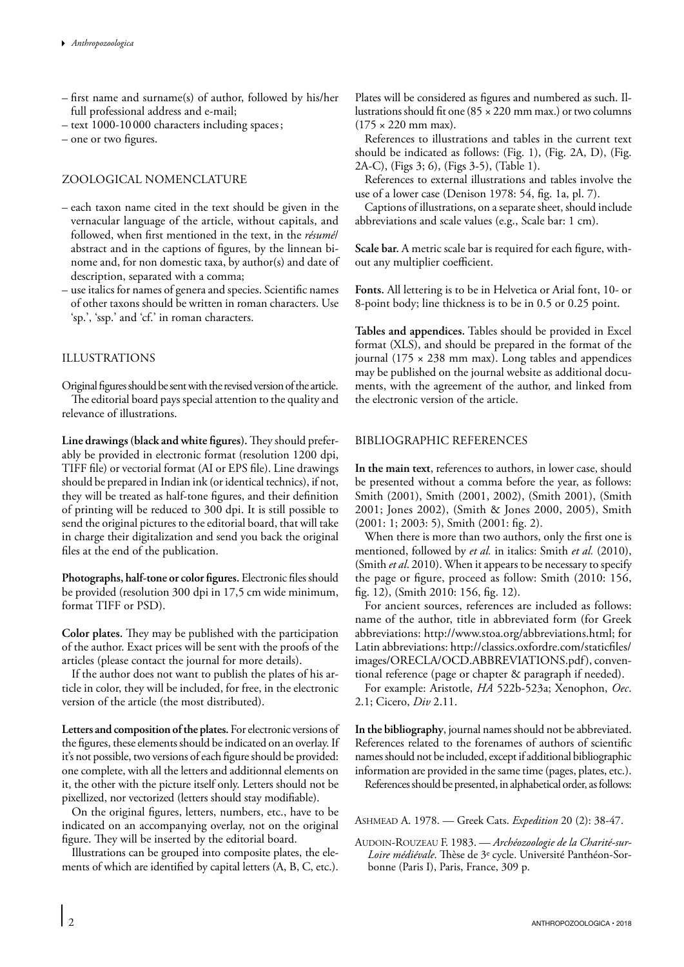- first name and surname(s) of author, followed by his/her full professional address and e-mail;
- text 1000-10000 characters including spaces;
- one or two figures.

### zoological nomenclature

- each taxon name cited in the text should be given in the vernacular language of the article, without capitals, and followed, when first mentioned in the text, in the *résumé*/ abstract and in the captions of figures, by the linnean binome and, for non domestic taxa, by author(s) and date of description, separated with a comma;
- use italics for names of genera and species. Scientific names of other taxons should be written in roman characters. Use 'sp.', 'ssp.' and 'cf.' in roman characters.

## **ILLUSTRATIONS**

Original figures should be sent with the revised version of the article. The editorial board pays special attention to the quality and relevance of illustrations.

**Line drawings (black and white figures).** They should preferably be provided in electronic format (resolution 1200 dpi, TIFF file) or vectorial format (AI or EPS file). Line drawings should be prepared in Indian ink (or identical technics), if not, they will be treated as half-tone figures, and their definition of printing will be reduced to 300 dpi. It is still possible to send the original pictures to the editorial board, that will take in charge their digitalization and send you back the original files at the end of the publication.

**Photographs, half-tone or color figures.** Electronic files should be provided (resolution 300 dpi in 17,5 cm wide minimum, format TIFF or PSD).

**Color plates.** They may be published with the participation of the author. Exact prices will be sent with the proofs of the articles (please contact the journal for more details).

If the author does not want to publish the plates of his article in color, they will be included, for free, in the electronic version of the article (the most distributed).

**Letters and composition of the plates.** For electronic versions of the figures, these elements should be indicated on an overlay. If it's not possible, two versions of each figure should be provided: one complete, with all the letters and additionnal elements on it, the other with the picture itself only. Letters should not be pixellized, nor vectorized (letters should stay modifiable).

On the original figures, letters, numbers, etc., have to be indicated on an accompanying overlay, not on the original figure. They will be inserted by the editorial board.

Illustrations can be grouped into composite plates, the elements of which are identified by capital letters (A, B, C, etc.).

Plates will be considered as figures and numbered as such. Illustrations should fit one ( $85 \times 220$  mm max.) or two columns  $(175 \times 220 \text{ mm max}).$ 

References to illustrations and tables in the current text should be indicated as follows: (Fig. 1), (Fig. 2A, D), (Fig. 2A-C), (Figs 3; 6), (Figs 3-5), (Table 1).

References to external illustrations and tables involve the use of a lower case (Denison 1978: 54, fig. 1a, pl. 7).

Captions of illustrations, on a separate sheet, should include abbreviations and scale values (e.g., Scale bar: 1 cm).

**Scale bar.** A metric scale bar is required for each figure, without any multiplier coefficient.

**Fonts.** All lettering is to be in Helvetica or Arial font, 10- or 8-point body; line thickness is to be in 0.5 or 0.25 point.

**Tables and appendices.** Tables should be provided in Excel format (XLS), and should be prepared in the format of the journal ( $175 \times 238$  mm max). Long tables and appendices may be published on the journal website as additional documents, with the agreement of the author, and linked from the electronic version of the article.

## Bibliographic references

**In the main text**, references to authors, in lower case, should be presented without a comma before the year, as follows: Smith (2001), Smith (2001, 2002), (Smith 2001), (Smith 2001; Jones 2002), (Smith & Jones 2000, 2005), Smith (2001: 1; 2003: 5), Smith (2001: fig. 2).

When there is more than two authors, only the first one is mentioned, followed by *et al.* in italics: Smith *et al.* (2010), (Smith *et al*. 2010). When it appears to be necessary to specify the page or figure, proceed as follow: Smith (2010: 156, fig. 12), (Smith 2010: 156, fig. 12).

For ancient sources, references are included as follows: name of the author, title in abbreviated form (for Greek abbreviations: [http://www.stoa.org/abbreviations.html;](http://www.stoa.org/abbreviations.html) for Latin abbreviations: [http://classics.oxfordre.com/staticfiles/](http://classics.oxfordre.com/staticfiles/images/ORECLA/OCD.ABBREVIATIONS.pdf) [images/ORECLA/OCD.ABBREVIATIONS.pdf\)](http://classics.oxfordre.com/staticfiles/images/ORECLA/OCD.ABBREVIATIONS.pdf), conventional reference (page or chapter & paragraph if needed).

For example: Aristotle, *HA* 522b-523a; Xenophon, *Oec*. 2.1; Cicero, *Div* 2.11.

**In the bibliography**, journal names should not be abbreviated. References related to the forenames of authors of scientific names should not be included, except if additional bibliographic information are provided in the same time (pages, plates, etc.).

References should be presented, in alphabetical order, as follows:

Ashmead A. 1978. — Greek Cats. *Expedition* 20 (2): 38-47.

AUDOIN-ROUZEAU F. 1983. - Archéozoologie de la Charité-sur-*Loire médiévale*. Thèse de 3e cycle. Université Panthéon-Sorbonne (Paris I), Paris, France, 309 p.